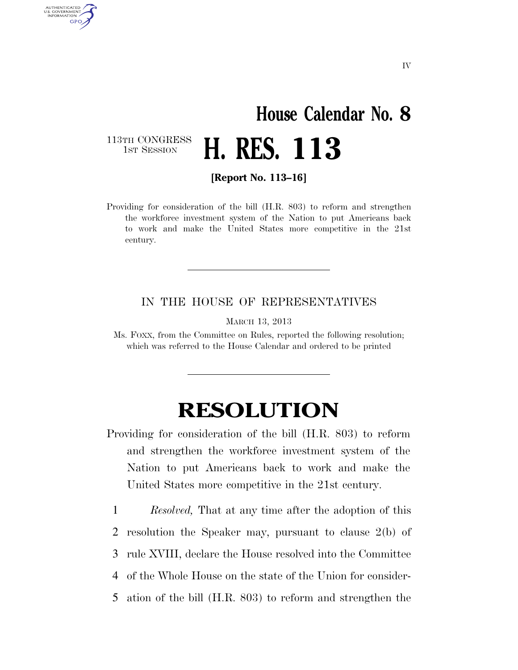## **House Calendar No. 8**  H. RES. 113

113TH CONGRESS<br>1st Session

AUTHENTICATED U.S. GOVERNMENT **GPO** 

**[Report No. 113–16]** 

Providing for consideration of the bill (H.R. 803) to reform and strengthen the workforce investment system of the Nation to put Americans back to work and make the United States more competitive in the 21st century.

## IN THE HOUSE OF REPRESENTATIVES

MARCH 13, 2013

Ms. FOXX, from the Committee on Rules, reported the following resolution; which was referred to the House Calendar and ordered to be printed

## **RESOLUTION**

Providing for consideration of the bill (H.R. 803) to reform and strengthen the workforce investment system of the Nation to put Americans back to work and make the United States more competitive in the 21st century.

 *Resolved,* That at any time after the adoption of this resolution the Speaker may, pursuant to clause 2(b) of rule XVIII, declare the House resolved into the Committee of the Whole House on the state of the Union for consider-ation of the bill (H.R. 803) to reform and strengthen the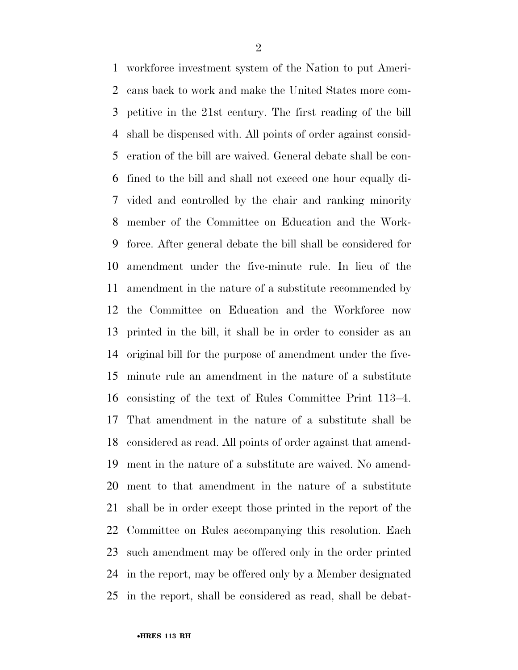workforce investment system of the Nation to put Ameri- cans back to work and make the United States more com- petitive in the 21st century. The first reading of the bill shall be dispensed with. All points of order against consid- eration of the bill are waived. General debate shall be con- fined to the bill and shall not exceed one hour equally di- vided and controlled by the chair and ranking minority member of the Committee on Education and the Work- force. After general debate the bill shall be considered for amendment under the five-minute rule. In lieu of the amendment in the nature of a substitute recommended by the Committee on Education and the Workforce now printed in the bill, it shall be in order to consider as an original bill for the purpose of amendment under the five- minute rule an amendment in the nature of a substitute consisting of the text of Rules Committee Print 113–4. That amendment in the nature of a substitute shall be considered as read. All points of order against that amend- ment in the nature of a substitute are waived. No amend- ment to that amendment in the nature of a substitute shall be in order except those printed in the report of the Committee on Rules accompanying this resolution. Each such amendment may be offered only in the order printed in the report, may be offered only by a Member designated in the report, shall be considered as read, shall be debat-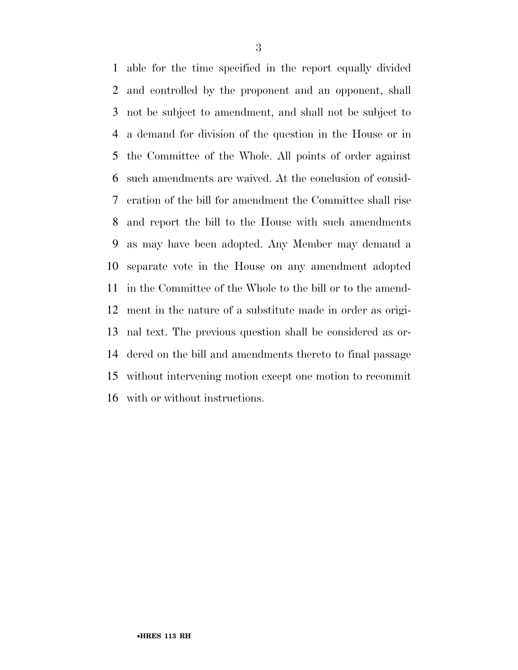able for the time specified in the report equally divided and controlled by the proponent and an opponent, shall not be subject to amendment, and shall not be subject to a demand for division of the question in the House or in the Committee of the Whole. All points of order against such amendments are waived. At the conclusion of consid- eration of the bill for amendment the Committee shall rise and report the bill to the House with such amendments as may have been adopted. Any Member may demand a separate vote in the House on any amendment adopted in the Committee of the Whole to the bill or to the amend- ment in the nature of a substitute made in order as origi- nal text. The previous question shall be considered as or- dered on the bill and amendments thereto to final passage without intervening motion except one motion to recommit with or without instructions.